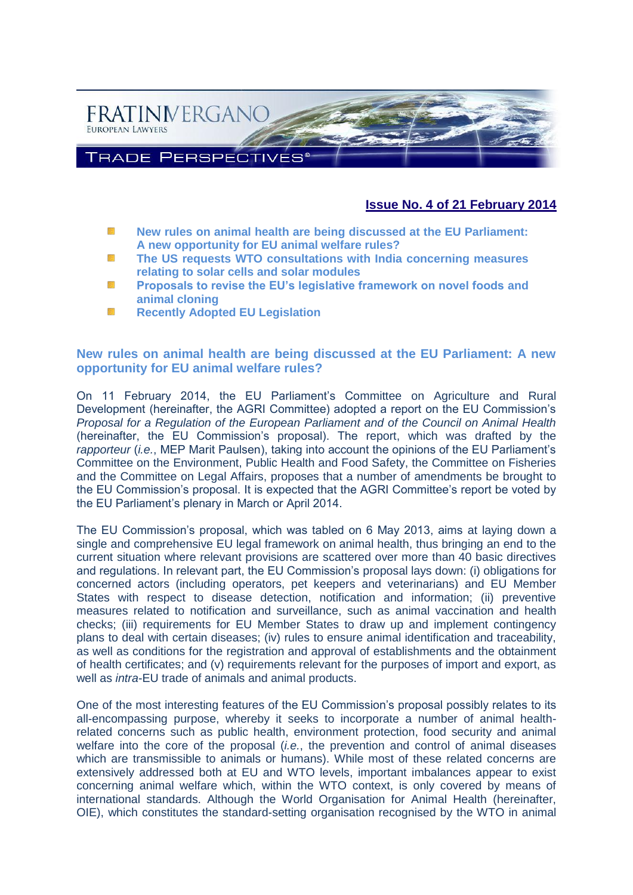

## **Issue No. 4 of 21 February 2014**

- W. **[New rules on animal health are being discussed at the EU Parliament:](#page-0-0)  [A new opportunity for EU animal welfare rules?](#page-0-0)**
- SS. **[The US requests WTO consultations with India concerning measures](#page-2-0)  [relating to solar cells and solar modules](#page-2-0)**
- 毲 **[Proposals to revise the EU's legislative framework on novel foods and](#page-3-0)  [animal cloning](#page-3-0)**
- **[Recently Adopted EU Legislation](#page-6-0)** 豀

#### <span id="page-0-0"></span>**New rules on animal health are being discussed at the EU Parliament: A new opportunity for EU animal welfare rules?**

On 11 February 2014, the EU Parliament's Committee on Agriculture and Rural Development (hereinafter, the AGRI Committee) adopted a report on the EU Commission's *Proposal for a Regulation of the European Parliament and of the Council on Animal Health*  (hereinafter, the EU Commission's proposal). The report, which was drafted by the *rapporteur* (*i.e.*, MEP Marit Paulsen), taking into account the opinions of the EU Parliament's Committee on the Environment, Public Health and Food Safety, the Committee on Fisheries and the Committee on Legal Affairs, proposes that a number of amendments be brought to the EU Commission's proposal. It is expected that the AGRI Committee's report be voted by the EU Parliament's plenary in March or April 2014.

The EU Commission's proposal, which was tabled on 6 May 2013, aims at laying down a single and comprehensive EU legal framework on animal health, thus bringing an end to the current situation where relevant provisions are scattered over more than 40 basic directives and regulations. In relevant part, the EU Commission's proposal lays down: (i) obligations for concerned actors (including operators, pet keepers and veterinarians) and EU Member States with respect to disease detection, notification and information; (ii) preventive measures related to notification and surveillance, such as animal vaccination and health checks; (iii) requirements for EU Member States to draw up and implement contingency plans to deal with certain diseases; (iv) rules to ensure animal identification and traceability, as well as conditions for the registration and approval of establishments and the obtainment of health certificates; and (v) requirements relevant for the purposes of import and export, as well as *intra*-EU trade of animals and animal products.

One of the most interesting features of the EU Commission's proposal possibly relates to its all-encompassing purpose, whereby it seeks to incorporate a number of animal healthrelated concerns such as public health, environment protection, food security and animal welfare into the core of the proposal (*i.e.*, the prevention and control of animal diseases which are transmissible to animals or humans). While most of these related concerns are extensively addressed both at EU and WTO levels, important imbalances appear to exist concerning animal welfare which, within the WTO context, is only covered by means of international standards. Although the World Organisation for Animal Health (hereinafter, OIE), which constitutes the standard-setting organisation recognised by the WTO in animal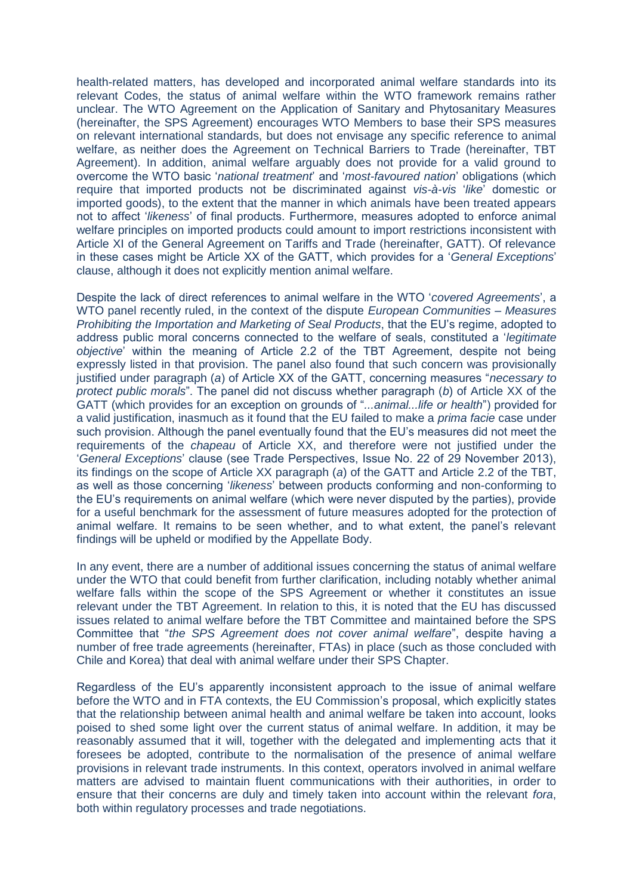health-related matters, has developed and incorporated animal welfare standards into its relevant Codes, the status of animal welfare within the WTO framework remains rather unclear. The WTO Agreement on the Application of Sanitary and Phytosanitary Measures (hereinafter, the SPS Agreement) encourages WTO Members to base their SPS measures on relevant international standards, but does not envisage any specific reference to animal welfare, as neither does the Agreement on Technical Barriers to Trade (hereinafter, TBT Agreement). In addition, animal welfare arguably does not provide for a valid ground to overcome the WTO basic '*national treatment*' and '*most-favoured nation*' obligations (which require that imported products not be discriminated against *vis-à-vis* '*like*' domestic or imported goods), to the extent that the manner in which animals have been treated appears not to affect '*likeness*' of final products. Furthermore, measures adopted to enforce animal welfare principles on imported products could amount to import restrictions inconsistent with Article XI of the General Agreement on Tariffs and Trade (hereinafter, GATT). Of relevance in these cases might be Article XX of the GATT, which provides for a '*General Exceptions*' clause, although it does not explicitly mention animal welfare.

Despite the lack of direct references to animal welfare in the WTO '*covered Agreements*', a WTO panel recently ruled, in the context of the dispute *European Communities – Measures Prohibiting the Importation and Marketing of Seal Products*, that the EU's regime, adopted to address public moral concerns connected to the welfare of seals, constituted a '*legitimate objective*' within the meaning of Article 2.2 of the TBT Agreement, despite not being expressly listed in that provision. The panel also found that such concern was provisionally justified under paragraph (*a*) of Article XX of the GATT, concerning measures "*necessary to protect public morals*". The panel did not discuss whether paragraph (*b*) of Article XX of the GATT (which provides for an exception on grounds of "*...animal...life or health*") provided for a valid justification, inasmuch as it found that the EU failed to make a *prima facie* case under such provision. Although the panel eventually found that the EU's measures did not meet the requirements of the *chapeau* of Article XX, and therefore were not justified under the '*General Exceptions*' clause (see Trade Perspectives, Issue No. 22 of 29 November 2013), its findings on the scope of Article XX paragraph (*a*) of the GATT and Article 2.2 of the TBT, as well as those concerning '*likeness*' between products conforming and non-conforming to the EU's requirements on animal welfare (which were never disputed by the parties), provide for a useful benchmark for the assessment of future measures adopted for the protection of animal welfare. It remains to be seen whether, and to what extent, the panel's relevant findings will be upheld or modified by the Appellate Body.

In any event, there are a number of additional issues concerning the status of animal welfare under the WTO that could benefit from further clarification, including notably whether animal welfare falls within the scope of the SPS Agreement or whether it constitutes an issue relevant under the TBT Agreement. In relation to this, it is noted that the EU has discussed issues related to animal welfare before the TBT Committee and maintained before the SPS Committee that "*the SPS Agreement does not cover animal welfare*", despite having a number of free trade agreements (hereinafter, FTAs) in place (such as those concluded with Chile and Korea) that deal with animal welfare under their SPS Chapter.

Regardless of the EU's apparently inconsistent approach to the issue of animal welfare before the WTO and in FTA contexts, the EU Commission's proposal, which explicitly states that the relationship between animal health and animal welfare be taken into account, looks poised to shed some light over the current status of animal welfare. In addition, it may be reasonably assumed that it will, together with the delegated and implementing acts that it foresees be adopted, contribute to the normalisation of the presence of animal welfare provisions in relevant trade instruments. In this context, operators involved in animal welfare matters are advised to maintain fluent communications with their authorities, in order to ensure that their concerns are duly and timely taken into account within the relevant *fora*, both within regulatory processes and trade negotiations.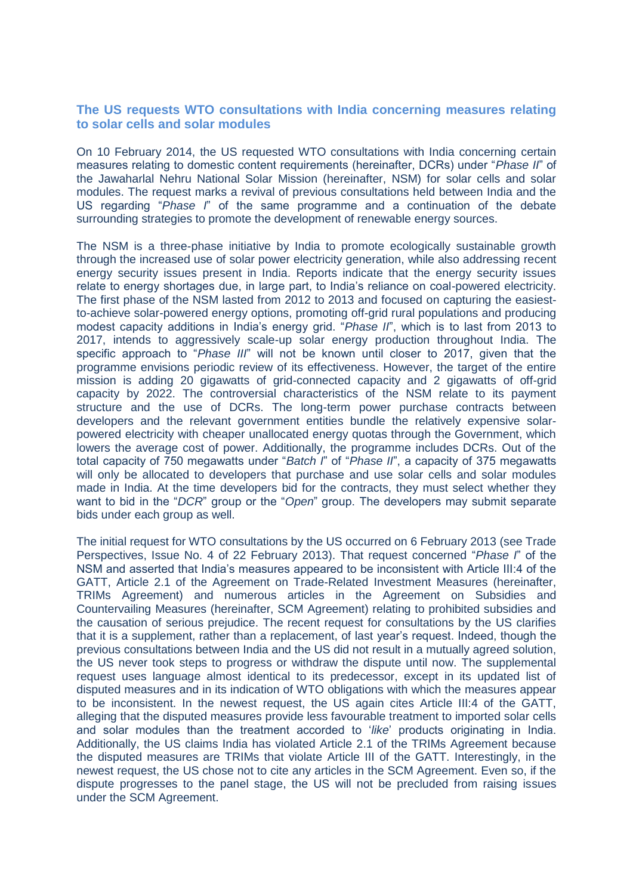#### <span id="page-2-0"></span>**The US requests WTO consultations with India concerning measures relating to solar cells and solar modules**

On 10 February 2014, the US requested WTO consultations with India concerning certain measures relating to domestic content requirements (hereinafter, DCRs) under "*Phase II*" of the Jawaharlal Nehru National Solar Mission (hereinafter, NSM) for solar cells and solar modules. The request marks a revival of previous consultations held between India and the US regarding "*Phase I*" of the same programme and a continuation of the debate surrounding strategies to promote the development of renewable energy sources.

The NSM is a three-phase initiative by India to promote ecologically sustainable growth through the increased use of solar power electricity generation, while also addressing recent energy security issues present in India. Reports indicate that the energy security issues relate to energy shortages due, in large part, to India's reliance on coal-powered electricity. The first phase of the NSM lasted from 2012 to 2013 and focused on capturing the easiestto-achieve solar-powered energy options, promoting off-grid rural populations and producing modest capacity additions in India's energy grid. "*Phase II*", which is to last from 2013 to 2017, intends to aggressively scale-up solar energy production throughout India. The specific approach to "*Phase III*" will not be known until closer to 2017, given that the programme envisions periodic review of its effectiveness. However, the target of the entire mission is adding 20 gigawatts of grid-connected capacity and 2 gigawatts of off-grid capacity by 2022. The controversial characteristics of the NSM relate to its payment structure and the use of DCRs. The long-term power purchase contracts between developers and the relevant government entities bundle the relatively expensive solarpowered electricity with cheaper unallocated energy quotas through the Government, which lowers the average cost of power. Additionally, the programme includes DCRs. Out of the total capacity of 750 megawatts under "*Batch I*" of "*Phase II*", a capacity of 375 megawatts will only be allocated to developers that purchase and use solar cells and solar modules made in India. At the time developers bid for the contracts, they must select whether they want to bid in the "*DCR*" group or the "*Open*" group. The developers may submit separate bids under each group as well.

The initial request for WTO consultations by the US occurred on 6 February 2013 (see Trade Perspectives, Issue No. 4 of 22 February 2013). That request concerned "*Phase I*" of the NSM and asserted that India's measures appeared to be inconsistent with Article III:4 of the GATT, Article 2.1 of the Agreement on Trade-Related Investment Measures (hereinafter, TRIMs Agreement) and numerous articles in the Agreement on Subsidies and Countervailing Measures (hereinafter, SCM Agreement) relating to prohibited subsidies and the causation of serious prejudice. The recent request for consultations by the US clarifies that it is a supplement, rather than a replacement, of last year's request. Indeed, though the previous consultations between India and the US did not result in a mutually agreed solution, the US never took steps to progress or withdraw the dispute until now. The supplemental request uses language almost identical to its predecessor, except in its updated list of disputed measures and in its indication of WTO obligations with which the measures appear to be inconsistent. In the newest request, the US again cites Article III:4 of the GATT, alleging that the disputed measures provide less favourable treatment to imported solar cells and solar modules than the treatment accorded to '*like*' products originating in India. Additionally, the US claims India has violated Article 2.1 of the TRIMs Agreement because the disputed measures are TRIMs that violate Article III of the GATT. Interestingly, in the newest request, the US chose not to cite any articles in the SCM Agreement. Even so, if the dispute progresses to the panel stage, the US will not be precluded from raising issues under the SCM Agreement.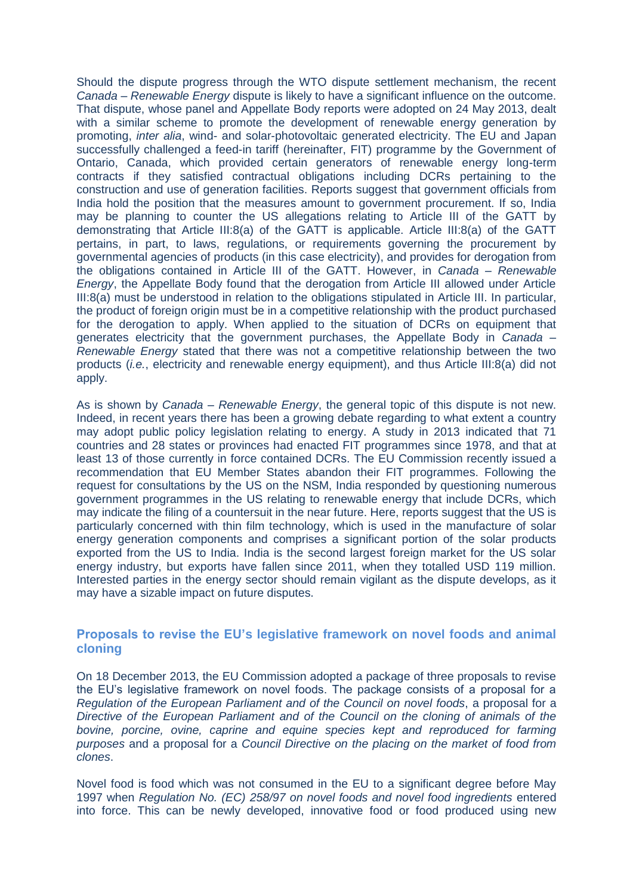Should the dispute progress through the WTO dispute settlement mechanism, the recent *Canada – Renewable Energy* dispute is likely to have a significant influence on the outcome. That dispute, whose panel and Appellate Body reports were adopted on 24 May 2013, dealt with a similar scheme to promote the development of renewable energy generation by promoting, *inter alia*, wind- and solar-photovoltaic generated electricity. The EU and Japan successfully challenged a feed-in tariff (hereinafter, FIT) programme by the Government of Ontario, Canada, which provided certain generators of renewable energy long-term contracts if they satisfied contractual obligations including DCRs pertaining to the construction and use of generation facilities. Reports suggest that government officials from India hold the position that the measures amount to government procurement. If so, India may be planning to counter the US allegations relating to Article III of the GATT by demonstrating that Article III:8(a) of the GATT is applicable. Article III:8(a) of the GATT pertains, in part, to laws, regulations, or requirements governing the procurement by governmental agencies of products (in this case electricity), and provides for derogation from the obligations contained in Article III of the GATT. However, in *Canada – Renewable Energy*, the Appellate Body found that the derogation from Article III allowed under Article III:8(a) must be understood in relation to the obligations stipulated in Article III. In particular, the product of foreign origin must be in a competitive relationship with the product purchased for the derogation to apply. When applied to the situation of DCRs on equipment that generates electricity that the government purchases, the Appellate Body in *Canada – Renewable Energy* stated that there was not a competitive relationship between the two products (*i.e.*, electricity and renewable energy equipment), and thus Article III:8(a) did not apply.

As is shown by *Canada – Renewable Energy*, the general topic of this dispute is not new. Indeed, in recent years there has been a growing debate regarding to what extent a country may adopt public policy legislation relating to energy. A study in 2013 indicated that 71 countries and 28 states or provinces had enacted FIT programmes since 1978, and that at least 13 of those currently in force contained DCRs. The EU Commission recently issued a recommendation that EU Member States abandon their FIT programmes. Following the request for consultations by the US on the NSM, India responded by questioning numerous government programmes in the US relating to renewable energy that include DCRs, which may indicate the filing of a countersuit in the near future. Here, reports suggest that the US is particularly concerned with thin film technology, which is used in the manufacture of solar energy generation components and comprises a significant portion of the solar products exported from the US to India. India is the second largest foreign market for the US solar energy industry, but exports have fallen since 2011, when they totalled USD 119 million. Interested parties in the energy sector should remain vigilant as the dispute develops, as it may have a sizable impact on future disputes.

#### <span id="page-3-0"></span>**Proposals to revise the EU's legislative framework on novel foods and animal cloning**

On 18 December 2013, the EU Commission adopted a package of three proposals to revise the EU's legislative framework on novel foods. The package consists of a proposal for a *Regulation of the European Parliament and of the Council on novel foods*, a proposal for a *Directive of the European Parliament and of the Council on the cloning of animals of the bovine, porcine, ovine, caprine and equine species kept and reproduced for farming purposes* and a proposal for a *Council Directive on the placing on the market of food from clones*.

Novel food is food which was not consumed in the EU to a significant degree before May 1997 when *Regulation No. (EC) 258/97 on novel foods and novel food ingredients* entered into force. This can be newly developed, innovative food or food produced using new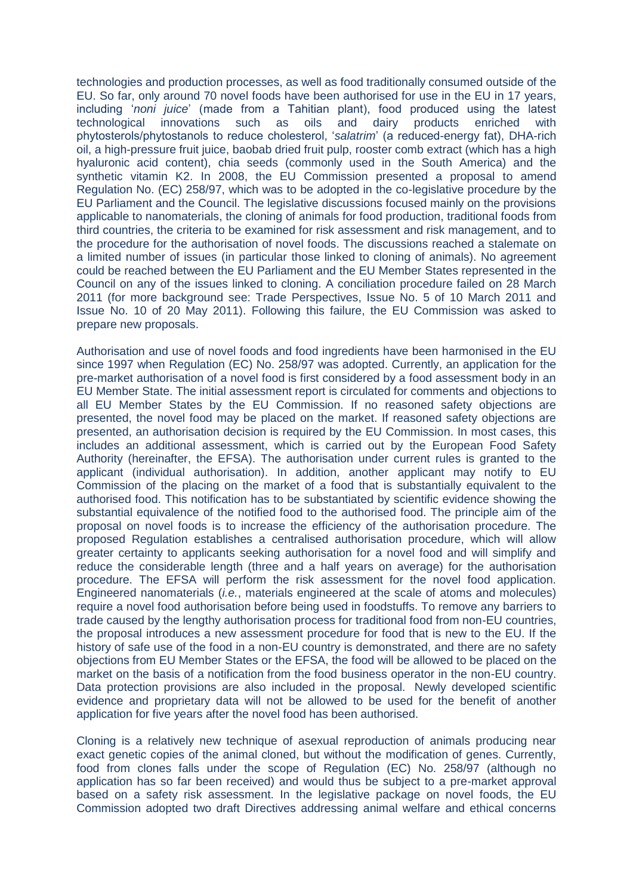technologies and production processes, as well as food traditionally consumed outside of the EU. So far, only around 70 novel foods have been authorised for use in the EU in 17 years, including '*noni juice*' (made from a Tahitian plant), food produced using the latest technological innovations such as oils and dairy products enriched with phytosterols/phytostanols to reduce cholesterol, '*salatrim*' (a reduced-energy fat), DHA-rich oil, a high-pressure fruit juice, baobab dried fruit pulp, rooster comb extract (which has a high hyaluronic acid content), chia seeds (commonly used in the South America) and the synthetic vitamin K2. In 2008, the EU Commission presented a proposal to amend Regulation No. (EC) 258/97, which was to be adopted in the co-legislative procedure by the EU Parliament and the Council. The legislative discussions focused mainly on the provisions applicable to nanomaterials, the cloning of animals for food production, traditional foods from third countries, the criteria to be examined for risk assessment and risk management, and to the procedure for the authorisation of novel foods. The discussions reached a stalemate on a limited number of issues (in particular those linked to cloning of animals). No agreement could be reached between the EU Parliament and the EU Member States represented in the Council on any of the issues linked to cloning. A conciliation procedure failed on 28 March 2011 (for more background see: Trade Perspectives, Issue No. 5 of 10 March 2011 and Issue No. 10 of 20 May 2011). Following this failure, the EU Commission was asked to prepare new proposals.

Authorisation and use of novel foods and food ingredients have been harmonised in the EU since 1997 when Regulation (EC) No. 258/97 was adopted. Currently, an application for the pre-market authorisation of a novel food is first considered by a food assessment body in an EU Member State. The initial assessment report is circulated for comments and objections to all EU Member States by the EU Commission. If no reasoned safety objections are presented, the novel food may be placed on the market. If reasoned safety objections are presented, an authorisation decision is required by the EU Commission. In most cases, this includes an additional assessment, which is carried out by the European Food Safety Authority (hereinafter, the EFSA). The authorisation under current rules is granted to the applicant (individual authorisation). In addition, another applicant may notify to EU Commission of the placing on the market of a food that is substantially equivalent to the authorised food. This notification has to be substantiated by scientific evidence showing the substantial equivalence of the notified food to the authorised food. The principle aim of the proposal on novel foods is to increase the efficiency of the authorisation procedure. The proposed Regulation establishes a centralised authorisation procedure, which will allow greater certainty to applicants seeking authorisation for a novel food and will simplify and reduce the considerable length (three and a half years on average) for the authorisation procedure. The EFSA will perform the risk assessment for the novel food application. Engineered nanomaterials (*i.e.*, materials engineered at the scale of atoms and molecules) require a novel food authorisation before being used in foodstuffs. To remove any barriers to trade caused by the lengthy authorisation process for traditional food from non-EU countries, the proposal introduces a new assessment procedure for food that is new to the EU. If the history of safe use of the food in a non-EU country is demonstrated, and there are no safety objections from EU Member States or the EFSA, the food will be allowed to be placed on the market on the basis of a notification from the food business operator in the non-EU country. Data protection provisions are also included in the proposal. Newly developed scientific evidence and proprietary data will not be allowed to be used for the benefit of another application for five years after the novel food has been authorised.

Cloning is a relatively new technique of asexual reproduction of animals producing near exact genetic copies of the animal cloned, but without the modification of genes. Currently, food from clones falls under the scope of Regulation (EC) No. 258/97 (although no application has so far been received) and would thus be subject to a pre-market approval based on a safety risk assessment. In the legislative package on novel foods, the EU Commission adopted two draft Directives addressing animal welfare and ethical concerns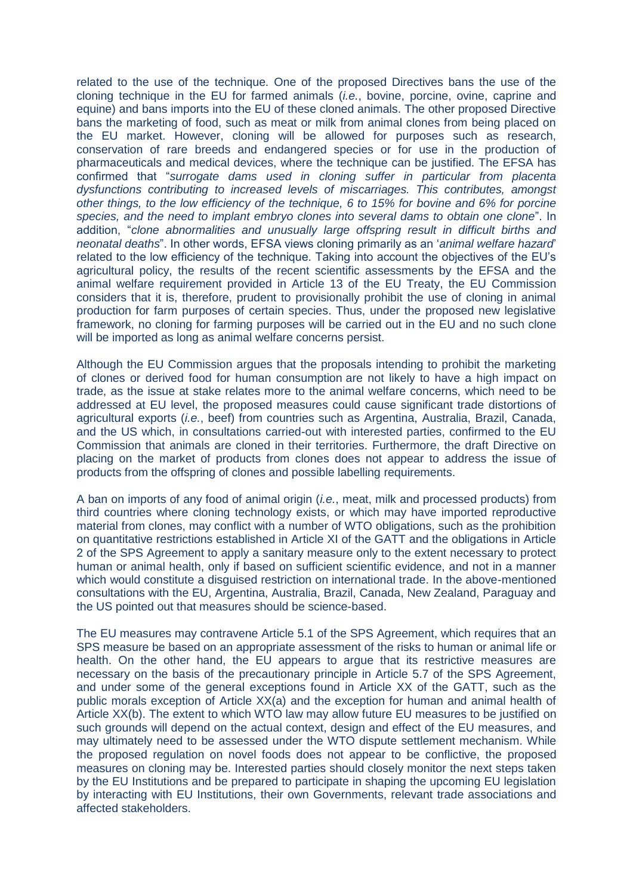related to the use of the technique. One of the proposed Directives bans the use of the cloning technique in the EU for farmed animals (*i.e.*, bovine, porcine, ovine, caprine and equine) and bans imports into the EU of these cloned animals. The other proposed Directive bans the marketing of food, such as meat or milk from animal clones from being placed on the EU market. However, cloning will be allowed for purposes such as research, conservation of rare breeds and endangered species or for use in the production of pharmaceuticals and medical devices, where the technique can be justified. The EFSA has confirmed that "*surrogate dams used in cloning suffer in particular from placenta dysfunctions contributing to increased levels of miscarriages. This contributes, amongst other things, to the low efficiency of the technique, 6 to 15% for bovine and 6% for porcine species, and the need to implant embryo clones into several dams to obtain one clone*". In addition, "*clone abnormalities and unusually large offspring result in difficult births and neonatal deaths*". In other words, EFSA views cloning primarily as an '*animal welfare hazard*' related to the low efficiency of the technique. Taking into account the objectives of the EU's agricultural policy, the results of the recent scientific assessments by the EFSA and the animal welfare requirement provided in Article 13 of the EU Treaty, the EU Commission considers that it is, therefore, prudent to provisionally prohibit the use of cloning in animal production for farm purposes of certain species. Thus, under the proposed new legislative framework, no cloning for farming purposes will be carried out in the EU and no such clone will be imported as long as animal welfare concerns persist.

Although the EU Commission argues that the proposals intending to prohibit the marketing of clones or derived food for human consumption are not likely to have a high impact on trade, as the issue at stake relates more to the animal welfare concerns, which need to be addressed at EU level, the proposed measures could cause significant trade distortions of agricultural exports (*i.e.*, beef) from countries such as Argentina, Australia, Brazil, Canada, and the US which, in consultations carried-out with interested parties, confirmed to the EU Commission that animals are cloned in their territories. Furthermore, the draft Directive on placing on the market of products from clones does not appear to address the issue of products from the offspring of clones and possible labelling requirements.

A ban on imports of any food of animal origin (*i.e.*, meat, milk and processed products) from third countries where cloning technology exists, or which may have imported reproductive material from clones, may conflict with a number of WTO obligations, such as the prohibition on quantitative restrictions established in Article XI of the GATT and the obligations in Article 2 of the SPS Agreement to apply a sanitary measure only to the extent necessary to protect human or animal health, only if based on sufficient scientific evidence, and not in a manner which would constitute a disguised restriction on international trade. In the above-mentioned consultations with the EU, Argentina, Australia, Brazil, Canada, New Zealand, Paraguay and the US pointed out that measures should be science-based.

The EU measures may contravene Article 5.1 of the SPS Agreement, which requires that an SPS measure be based on an appropriate assessment of the risks to human or animal life or health. On the other hand, the EU appears to argue that its restrictive measures are necessary on the basis of the precautionary principle in Article 5.7 of the SPS Agreement, and under some of the general exceptions found in Article XX of the GATT, such as the public morals exception of Article XX(a) and the exception for human and animal health of Article XX(b). The extent to which WTO law may allow future EU measures to be justified on such grounds will depend on the actual context, design and effect of the EU measures, and may ultimately need to be assessed under the WTO dispute settlement mechanism. While the proposed regulation on novel foods does not appear to be conflictive, the proposed measures on cloning may be. Interested parties should closely monitor the next steps taken by the EU Institutions and be prepared to participate in shaping the upcoming EU legislation by interacting with EU Institutions, their own Governments, relevant trade associations and affected stakeholders.